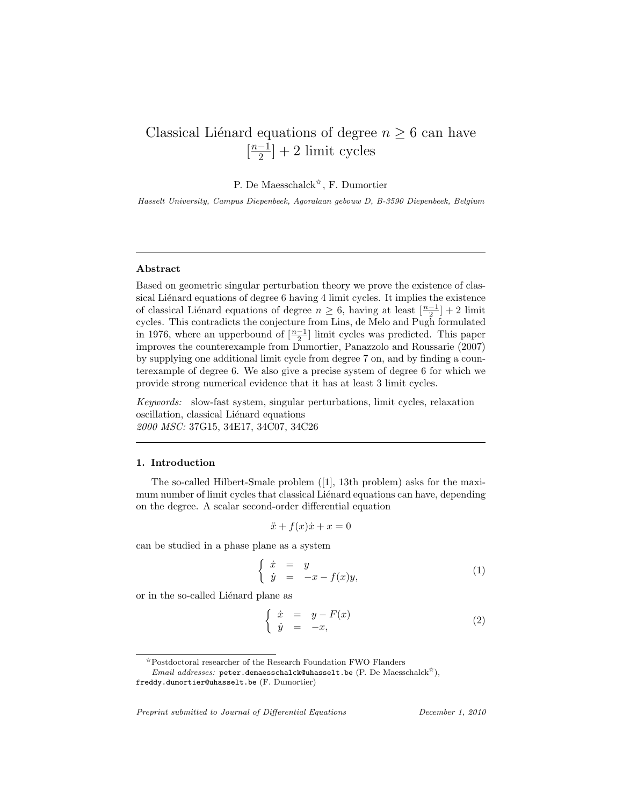## Classical Liénard equations of degree  $n \geq 6$  can have  $\left[\frac{n-1}{2}\right]$  $\frac{-1}{2}$  + 2 limit cycles

P. De Maesschalck<sup> $\hat{\mathbf{x}}$ </sup>, F. Dumortier

Hasselt University, Campus Diepenbeek, Agoralaan gebouw D, B-3590 Diepenbeek, Belgium

#### Abstract

Based on geometric singular perturbation theory we prove the existence of classical Liénard equations of degree 6 having 4 limit cycles. It implies the existence of classical Liénard equations of degree  $n \geq 6$ , having at least  $\left[\frac{n-1}{2}\right] + 2$  limit cycles. This contradicts the conjecture from Lins, de Melo and Pugh formulated in 1976, where an upperbound of  $\left[\frac{n-1}{2}\right]$  limit cycles was predicted. This paper improves the counterexample from Dumortier, Panazzolo and Roussarie (2007) by supplying one additional limit cycle from degree 7 on, and by finding a counterexample of degree 6. We also give a precise system of degree 6 for which we provide strong numerical evidence that it has at least 3 limit cycles.

Keywords: slow-fast system, singular perturbations, limit cycles, relaxation oscillation, classical Liénard equations 2000 MSC: 37G15, 34E17, 34C07, 34C26

## 1. Introduction

The so-called Hilbert-Smale problem ([1], 13th problem) asks for the maximum number of limit cycles that classical Liénard equations can have, depending on the degree. A scalar second-order differential equation

$$
\ddot{x} + f(x)\dot{x} + x = 0
$$

can be studied in a phase plane as a system

$$
\begin{cases} \dot{x} = y \\ \dot{y} = -x - f(x)y, \end{cases} \tag{1}
$$

or in the so-called Liénard plane as

$$
\begin{cases} \n\dot{x} = y - F(x) \\ \n\dot{y} = -x, \n\end{cases} \n\tag{2}
$$

Preprint submitted to Journal of Differential Equations December 1, 2010

 $\boldsymbol{\hat{\pi}}$ Postdoctoral researcher of the Research Foundation FWO Flanders

*Email addresses:* peter.demaesschalck@uhasselt.be (P. De Maesschalck<sup> $\hat{\star}$ </sup>),

freddy.dumortier@uhasselt.be (F. Dumortier)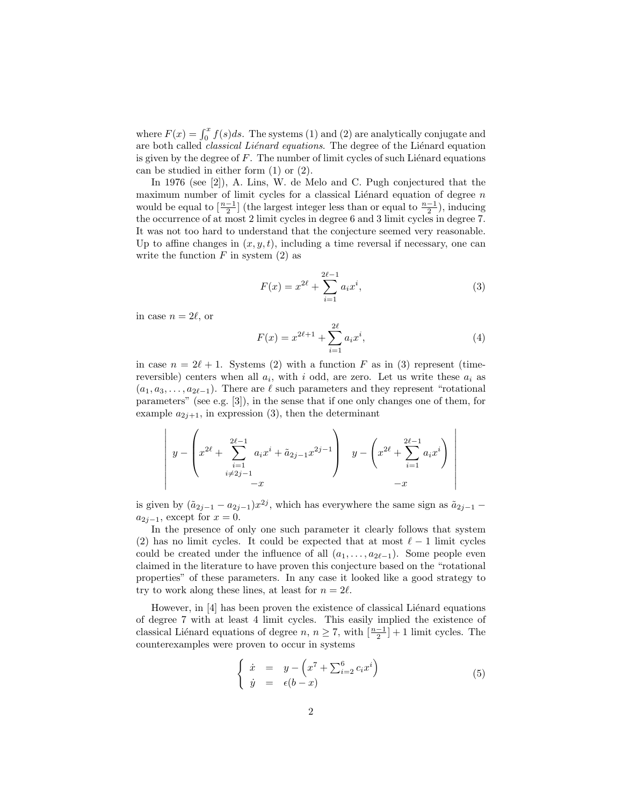where  $F(x) = \int_0^x f(s)ds$ . The systems (1) and (2) are analytically conjugate and are both called *classical Liénard equations*. The degree of the Liénard equation is given by the degree of  $F$ . The number of limit cycles of such Liénard equations can be studied in either form (1) or (2).

In 1976 (see [2]), A. Lins, W. de Melo and C. Pugh conjectured that the maximum number of limit cycles for a classical Liénard equation of degree  $\sqrt{n}$ would be equal to  $\left[\frac{n-1}{2}\right]$  (the largest integer less than or equal to  $\frac{n-1}{2}$ ), inducing the occurrence of at most 2 limit cycles in degree 6 and 3 limit cycles in degree 7. It was not too hard to understand that the conjecture seemed very reasonable. Up to affine changes in  $(x, y, t)$ , including a time reversal if necessary, one can write the function  $F$  in system  $(2)$  as

$$
F(x) = x^{2\ell} + \sum_{i=1}^{2\ell-1} a_i x^i,
$$
\n(3)

in case  $n = 2\ell$ , or

$$
F(x) = x^{2\ell+1} + \sum_{i=1}^{2\ell} a_i x^i,
$$
\n(4)

in case  $n = 2\ell + 1$ . Systems (2) with a function F as in (3) represent (timereversible) centers when all  $a_i$ , with i odd, are zero. Let us write these  $a_i$  as  $(a_1, a_3, \ldots, a_{2\ell-1})$ . There are  $\ell$  such parameters and they represent "rotational" parameters" (see e.g. [3]), in the sense that if one only changes one of them, for example  $a_{2j+1}$ , in expression (3), then the determinant

$$
\left| y - \left( x^{2\ell} + \sum_{\substack{i=1 \ i \neq 2j-1}}^{2\ell-1} a_i x^i + \tilde{a}_{2j-1} x^{2j-1} \right) y - \left( x^{2\ell} + \sum_{i=1}^{2\ell-1} a_i x^i \right) \right|
$$
  
-x

is given by  $(\tilde{a}_{2j-1} - a_{2j-1})x^{2j}$ , which has everywhere the same sign as  $\tilde{a}_{2j-1}$  –  $a_{2i-1}$ , except for  $x=0$ .

In the presence of only one such parameter it clearly follows that system (2) has no limit cycles. It could be expected that at most  $\ell - 1$  limit cycles could be created under the influence of all  $(a_1, \ldots, a_{2\ell-1})$ . Some people even claimed in the literature to have proven this conjecture based on the "rotational properties" of these parameters. In any case it looked like a good strategy to try to work along these lines, at least for  $n = 2\ell$ .

However, in  $[4]$  has been proven the existence of classical Lienard equations of degree 7 with at least 4 limit cycles. This easily implied the existence of classical Liénard equations of degree  $n, n \geq 7$ , with  $\left[\frac{n-1}{2}\right] + 1$  limit cycles. The counterexamples were proven to occur in systems

$$
\begin{cases}\n\dot{x} = y - \left(x^7 + \sum_{i=2}^6 c_i x^i\right) \\
\dot{y} = \epsilon(b - x)\n\end{cases} \n\tag{5}
$$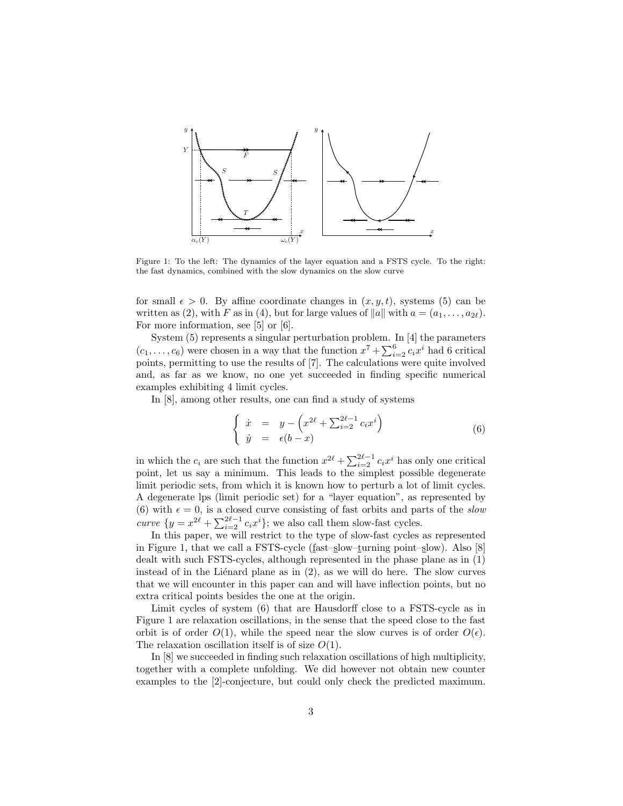

Figure 1: To the left: The dynamics of the layer equation and a FSTS cycle. To the right: the fast dynamics, combined with the slow dynamics on the slow curve

for small  $\epsilon > 0$ . By affine coordinate changes in  $(x, y, t)$ , systems (5) can be written as (2), with F as in (4), but for large values of  $||a||$  with  $a = (a_1, \ldots, a_{2\ell})$ . For more information, see [5] or [6].

System (5) represents a singular perturbation problem. In [4] the parameters  $(c_1, \ldots, c_6)$  were chosen in a way that the function  $x^7 + \sum_{i=2}^{6} c_i x^i$  had 6 critical points, permitting to use the results of [7]. The calculations were quite involved and, as far as we know, no one yet succeeded in finding specific numerical examples exhibiting 4 limit cycles.

In [8], among other results, one can find a study of systems

$$
\begin{cases}\n\dot{x} = y - \left(x^{2\ell} + \sum_{i=2}^{2\ell-1} c_i x^i\right) \\
\dot{y} = \epsilon(b-x)\n\end{cases} \n\tag{6}
$$

in which the  $c_i$  are such that the function  $x^{2\ell} + \sum_{i=2}^{2\ell-1} c_i x^i$  has only one critical point, let us say a minimum. This leads to the simplest possible degenerate limit periodic sets, from which it is known how to perturb a lot of limit cycles. A degenerate lps (limit periodic set) for a "layer equation", as represented by (6) with  $\epsilon = 0$ , is a closed curve consisting of fast orbits and parts of the slow curve  $\{y = x^{2\ell} + \sum_{i=2}^{2\ell-1} c_i x^i\}$ ; we also call them slow-fast cycles.

In this paper, we will restrict to the type of slow-fast cycles as represented in Figure 1, that we call a FSTS-cycle (fast–slow–turning point–slow). Also [8] dealt with such FSTS-cycles, although represented in the phase plane as in (1) instead of in the Liénard plane as in  $(2)$ , as we will do here. The slow curves that we will encounter in this paper can and will have inflection points, but no extra critical points besides the one at the origin.

Limit cycles of system (6) that are Hausdorff close to a FSTS-cycle as in Figure 1 are relaxation oscillations, in the sense that the speed close to the fast orbit is of order  $O(1)$ , while the speed near the slow curves is of order  $O(\epsilon)$ . The relaxation oscillation itself is of size  $O(1)$ .

In [8] we succeeded in finding such relaxation oscillations of high multiplicity, together with a complete unfolding. We did however not obtain new counter examples to the [2]-conjecture, but could only check the predicted maximum.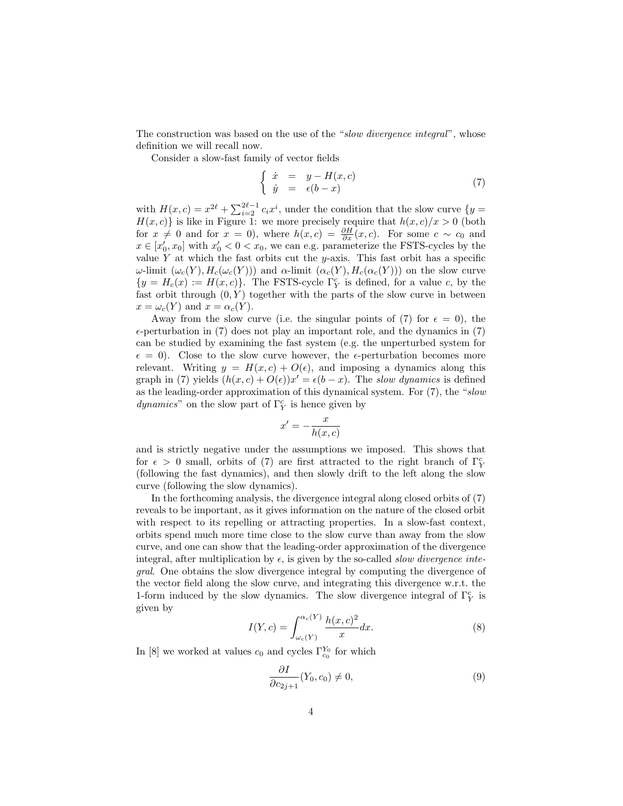The construction was based on the use of the "slow divergence integral", whose definition we will recall now.

Consider a slow-fast family of vector fields

$$
\begin{cases}\n\dot{x} = y - H(x, c) \\
\dot{y} = \epsilon(b - x)\n\end{cases} (7)
$$

with  $H(x, c) = x^{2\ell} + \sum_{i=2}^{2\ell-1} c_i x^i$ , under the condition that the slow curve  $\{y =$  $H(x, c)$  is like in Figure 1: we more precisely require that  $h(x, c)/x > 0$  (both for  $x \neq 0$  and for  $x = 0$ ), where  $h(x, c) = \frac{\partial H}{\partial x}(x, c)$ . For some  $c \sim c_0$  and  $x \in [x'_0, x_0]$  with  $x'_0 < 0 < x_0$ , we can e.g. parameterize the FSTS-cycles by the value Y at which the fast orbits cut the y-axis. This fast orbit has a specific ω-limit  $(\omega_c(Y), H_c(\omega_c(Y)))$  and α-limit  $(\alpha_c(Y), H_c(\alpha_c(Y)))$  on the slow curve  ${y = H<sub>c</sub>(x) := H(x, c)}$ . The FSTS-cycle  $\Gamma_Y^c$  is defined, for a value c, by the fast orbit through  $(0, Y)$  together with the parts of the slow curve in between  $x = \omega_c(Y)$  and  $x = \alpha_c(Y)$ .

Away from the slow curve (i.e. the singular points of (7) for  $\epsilon = 0$ ), the  $\epsilon$ -perturbation in (7) does not play an important role, and the dynamics in (7) can be studied by examining the fast system (e.g. the unperturbed system for  $\epsilon = 0$ ). Close to the slow curve however, the  $\epsilon$ -perturbation becomes more relevant. Writing  $y = H(x, c) + O(\epsilon)$ , and imposing a dynamics along this graph in (7) yields  $(h(x, c) + O(\epsilon))x' = \epsilon(b - x)$ . The slow dynamics is defined as the leading-order approximation of this dynamical system. For  $(7)$ , the "slow  $dynamics"$  on the slow part of  $\Gamma_Y^c$  is hence given by

$$
x' = -\frac{x}{h(x, c)}
$$

and is strictly negative under the assumptions we imposed. This shows that for  $\epsilon > 0$  small, orbits of (7) are first attracted to the right branch of  $\Gamma_Y^c$ (following the fast dynamics), and then slowly drift to the left along the slow curve (following the slow dynamics).

In the forthcoming analysis, the divergence integral along closed orbits of (7) reveals to be important, as it gives information on the nature of the closed orbit with respect to its repelling or attracting properties. In a slow-fast context, orbits spend much more time close to the slow curve than away from the slow curve, and one can show that the leading-order approximation of the divergence integral, after multiplication by  $\epsilon$ , is given by the so-called *slow divergence inte*gral. One obtains the slow divergence integral by computing the divergence of the vector field along the slow curve, and integrating this divergence w.r.t. the 1-form induced by the slow dynamics. The slow divergence integral of  $\Gamma_Y^c$  is given by

$$
I(Y,c) = \int_{\omega_c(Y)}^{\alpha_c(Y)} \frac{h(x,c)^2}{x} dx.
$$
 (8)

In [8] we worked at values  $c_0$  and cycles  $\Gamma_{c_0}^{Y_0}$  for which

$$
\frac{\partial I}{\partial c_{2j+1}}(Y_0, c_0) \neq 0,\tag{9}
$$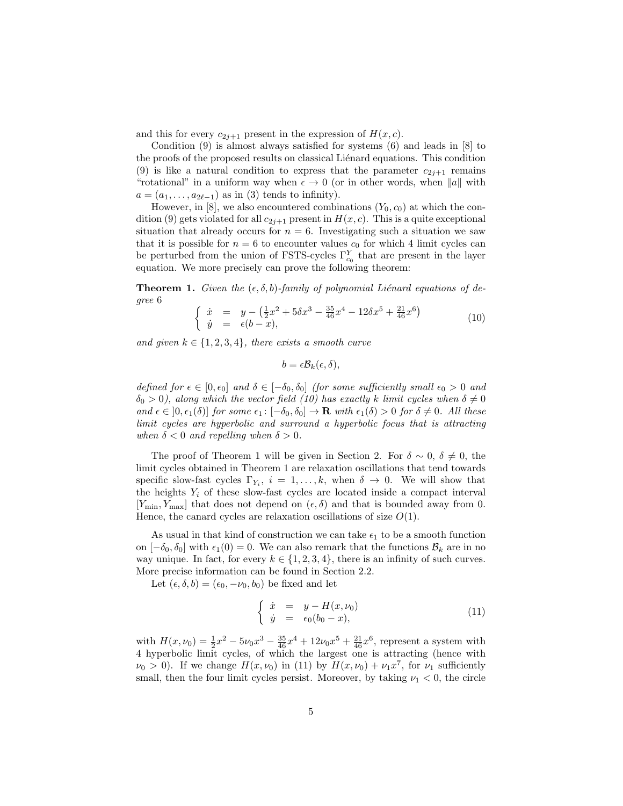and this for every  $c_{2j+1}$  present in the expression of  $H(x, c)$ .

Condition (9) is almost always satisfied for systems (6) and leads in  $|8|$  to the proofs of the proposed results on classical Liénard equations. This condition (9) is like a natural condition to express that the parameter  $c_{2j+1}$  remains "rotational" in a uniform way when  $\epsilon \to 0$  (or in other words, when  $||a||$  with  $a = (a_1, \ldots, a_{2\ell-1})$  as in (3) tends to infinity).

However, in [8], we also encountered combinations  $(Y_0, c_0)$  at which the condition (9) gets violated for all  $c_{2i+1}$  present in  $H(x, c)$ . This is a quite exceptional situation that already occurs for  $n = 6$ . Investigating such a situation we saw that it is possible for  $n = 6$  to encounter values  $c_0$  for which 4 limit cycles can be perturbed from the union of FSTS-cycles  $\Gamma^Y_{c_0}$  that are present in the layer equation. We more precisely can prove the following theorem:

**Theorem 1.** Given the  $(\epsilon, \delta, b)$ -family of polynomial Liénard equations of degree 6

$$
\begin{cases} \n\dot{x} = y - \left(\frac{1}{2}x^2 + 5\delta x^3 - \frac{35}{46}x^4 - 12\delta x^5 + \frac{21}{46}x^6\right) \\
\dot{y} = \epsilon(b - x), \n\end{cases} \n\tag{10}
$$

and given  $k \in \{1, 2, 3, 4\}$ , there exists a smooth curve

$$
b=\epsilon \mathcal{B}_k(\epsilon,\delta),
$$

defined for  $\epsilon \in [0, \epsilon_0]$  and  $\delta \in [-\delta_0, \delta_0]$  (for some sufficiently small  $\epsilon_0 > 0$  and  $\delta_0 > 0$ ), along which the vector field (10) has exactly k limit cycles when  $\delta \neq 0$ and  $\epsilon \in [0, \epsilon_1(\delta)]$  for some  $\epsilon_1 : [-\delta_0, \delta_0] \to \mathbf{R}$  with  $\epsilon_1(\delta) > 0$  for  $\delta \neq 0$ . All these limit cycles are hyperbolic and surround a hyperbolic focus that is attracting when  $\delta < 0$  and repelling when  $\delta > 0$ .

The proof of Theorem 1 will be given in Section 2. For  $\delta \sim 0$ ,  $\delta \neq 0$ , the limit cycles obtained in Theorem 1 are relaxation oscillations that tend towards specific slow-fast cycles  $\Gamma_{Y_i}$ ,  $i = 1, ..., k$ , when  $\delta \to 0$ . We will show that the heights  $Y_i$  of these slow-fast cycles are located inside a compact interval  $[Y_{\min}, Y_{\max}]$  that does not depend on  $(\epsilon, \delta)$  and that is bounded away from 0. Hence, the canard cycles are relaxation oscillations of size  $O(1)$ .

As usual in that kind of construction we can take  $\epsilon_1$  to be a smooth function on  $[-\delta_0, \delta_0]$  with  $\epsilon_1(0) = 0$ . We can also remark that the functions  $\mathcal{B}_k$  are in no way unique. In fact, for every  $k \in \{1, 2, 3, 4\}$ , there is an infinity of such curves. More precise information can be found in Section 2.2.

Let  $(\epsilon, \delta, b) = (\epsilon_0, -\nu_0, b_0)$  be fixed and let

$$
\begin{cases}\n\dot{x} = y - H(x, \nu_0) \\
\dot{y} = \epsilon_0 (b_0 - x),\n\end{cases} (11)
$$

with  $H(x,\nu_0) = \frac{1}{2}x^2 - 5\nu_0x^3 - \frac{35}{46}x^4 + 12\nu_0x^5 + \frac{21}{46}x^6$ , represent a system with 4 hyperbolic limit cycles, of which the largest one is attracting (hence with  $\nu_0 > 0$ ). If we change  $H(x, \nu_0)$  in (11) by  $H(x, \nu_0) + \nu_1 x^7$ , for  $\nu_1$  sufficiently small, then the four limit cycles persist. Moreover, by taking  $\nu_1 < 0$ , the circle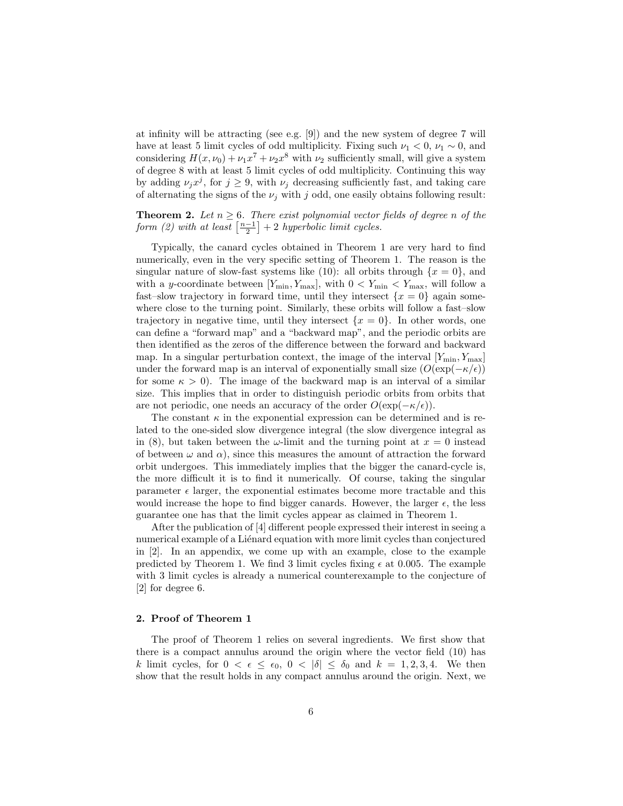at infinity will be attracting (see e.g. [9]) and the new system of degree 7 will have at least 5 limit cycles of odd multiplicity. Fixing such  $\nu_1 < 0$ ,  $\nu_1 \sim 0$ , and considering  $H(x,\nu_0) + \nu_1 x^7 + \nu_2 x^8$  with  $\nu_2$  sufficiently small, will give a system of degree 8 with at least 5 limit cycles of odd multiplicity. Continuing this way by adding  $\nu_j x^j$ , for  $j \geq 9$ , with  $\nu_j$  decreasing sufficiently fast, and taking care of alternating the signs of the  $\nu_i$  with j odd, one easily obtains following result:

# **Theorem 2.** Let  $n \geq 6$ . There exist polynomial vector fields of degree n of the form (2) with at least  $\left[\frac{n-1}{2}\right] + 2$  hyperbolic limit cycles.

Typically, the canard cycles obtained in Theorem 1 are very hard to find numerically, even in the very specific setting of Theorem 1. The reason is the singular nature of slow-fast systems like (10): all orbits through  $\{x = 0\}$ , and with a y-coordinate between  $[Y_{\min}, Y_{\max}]$ , with  $0 < Y_{\min} < Y_{\max}$ , will follow a fast–slow trajectory in forward time, until they intersect  $\{x = 0\}$  again somewhere close to the turning point. Similarly, these orbits will follow a fast–slow trajectory in negative time, until they intersect  $\{x = 0\}$ . In other words, one can define a "forward map" and a "backward map", and the periodic orbits are then identified as the zeros of the difference between the forward and backward map. In a singular perturbation context, the image of the interval  $[Y_{\min}, Y_{\max}]$ under the forward map is an interval of exponentially small size  $(O(\exp(-\kappa/\epsilon))$ for some  $\kappa > 0$ . The image of the backward map is an interval of a similar size. This implies that in order to distinguish periodic orbits from orbits that are not periodic, one needs an accuracy of the order  $O(\exp(-\kappa/\epsilon)).$ 

The constant  $\kappa$  in the exponential expression can be determined and is related to the one-sided slow divergence integral (the slow divergence integral as in (8), but taken between the  $\omega$ -limit and the turning point at  $x = 0$  instead of between  $\omega$  and  $\alpha$ ), since this measures the amount of attraction the forward orbit undergoes. This immediately implies that the bigger the canard-cycle is, the more difficult it is to find it numerically. Of course, taking the singular parameter  $\epsilon$  larger, the exponential estimates become more tractable and this would increase the hope to find bigger canards. However, the larger  $\epsilon$ , the less guarantee one has that the limit cycles appear as claimed in Theorem 1.

After the publication of [4] different people expressed their interest in seeing a numerical example of a Liénard equation with more limit cycles than conjectured in [2]. In an appendix, we come up with an example, close to the example predicted by Theorem 1. We find 3 limit cycles fixing  $\epsilon$  at 0.005. The example with 3 limit cycles is already a numerical counterexample to the conjecture of [2] for degree 6.

## 2. Proof of Theorem 1

The proof of Theorem 1 relies on several ingredients. We first show that there is a compact annulus around the origin where the vector field (10) has k limit cycles, for  $0 < \epsilon \leq \epsilon_0$ ,  $0 < |\delta| \leq \delta_0$  and  $k = 1, 2, 3, 4$ . We then show that the result holds in any compact annulus around the origin. Next, we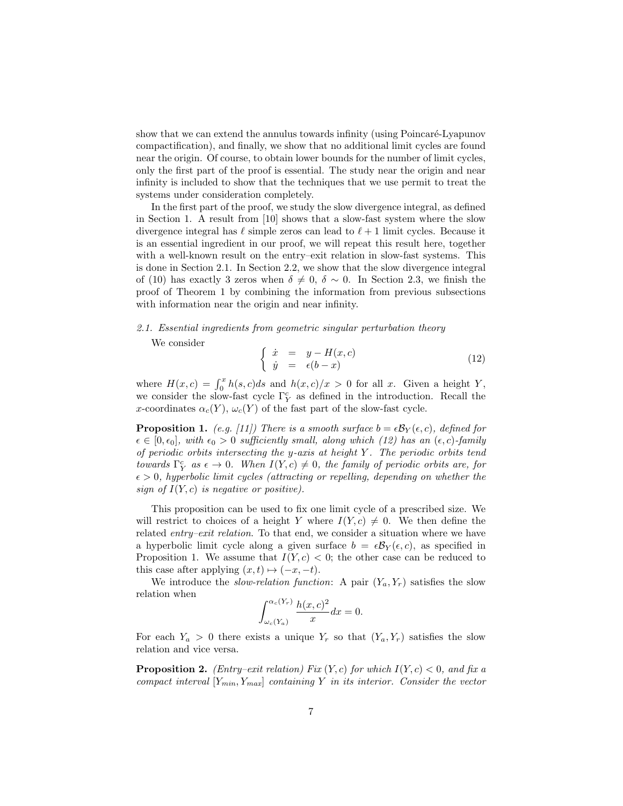show that we can extend the annulus towards infinity (using Poincaré-Lyapunov compactification), and finally, we show that no additional limit cycles are found near the origin. Of course, to obtain lower bounds for the number of limit cycles, only the first part of the proof is essential. The study near the origin and near infinity is included to show that the techniques that we use permit to treat the systems under consideration completely.

In the first part of the proof, we study the slow divergence integral, as defined in Section 1. A result from [10] shows that a slow-fast system where the slow divergence integral has  $\ell$  simple zeros can lead to  $\ell + 1$  limit cycles. Because it is an essential ingredient in our proof, we will repeat this result here, together with a well-known result on the entry–exit relation in slow-fast systems. This is done in Section 2.1. In Section 2.2, we show that the slow divergence integral of (10) has exactly 3 zeros when  $\delta \neq 0$ ,  $\delta \sim 0$ . In Section 2.3, we finish the proof of Theorem 1 by combining the information from previous subsections with information near the origin and near infinity.

#### 2.1. Essential ingredients from geometric singular perturbation theory

We consider

$$
\begin{cases} \n\dot{x} = y - H(x, c) \\ \n\dot{y} = \epsilon(b - x) \n\end{cases} \n\tag{12}
$$

where  $H(x, c) = \int_0^x h(s, c)ds$  and  $h(x, c)/x > 0$  for all x. Given a height Y, we consider the slow-fast cycle  $\Gamma_Y^c$  as defined in the introduction. Recall the x-coordinates  $\alpha_c(Y)$ ,  $\omega_c(Y)$  of the fast part of the slow-fast cycle.

**Proposition 1.** (e.g. [11]) There is a smooth surface  $b = \epsilon B_Y(\epsilon, c)$ , defined for  $\epsilon \in [0, \epsilon_0],$  with  $\epsilon_0 > 0$  sufficiently small, along which (12) has an  $(\epsilon, c)$ -family of periodic orbits intersecting the y-axis at height Y . The periodic orbits tend towards  $\Gamma_Y^c$  as  $\epsilon \to 0$ . When  $I(Y, c) \neq 0$ , the family of periodic orbits are, for  $\epsilon > 0$ , hyperbolic limit cycles (attracting or repelling, depending on whether the sign of  $I(Y, c)$  is negative or positive).

This proposition can be used to fix one limit cycle of a prescribed size. We will restrict to choices of a height Y where  $I(Y, c) \neq 0$ . We then define the related entry–exit relation. To that end, we consider a situation where we have a hyperbolic limit cycle along a given surface  $b = \epsilon B_Y(\epsilon, c)$ , as specified in Proposition 1. We assume that  $I(Y, c) < 0$ ; the other case can be reduced to this case after applying  $(x, t) \mapsto (-x, -t)$ .

We introduce the *slow-relation function*: A pair  $(Y_a, Y_r)$  satisfies the slow relation when

$$
\int_{\omega_c(Y_a)}^{\alpha_c(Y_r)} \frac{h(x,c)^2}{x} dx = 0.
$$

For each  $Y_a > 0$  there exists a unique  $Y_r$  so that  $(Y_a, Y_r)$  satisfies the slow relation and vice versa.

**Proposition 2.** (Entry–exit relation) Fix  $(Y, c)$  for which  $I(Y, c) < 0$ , and fix a compact interval  $[Y_{min}, Y_{max}]$  containing Y in its interior. Consider the vector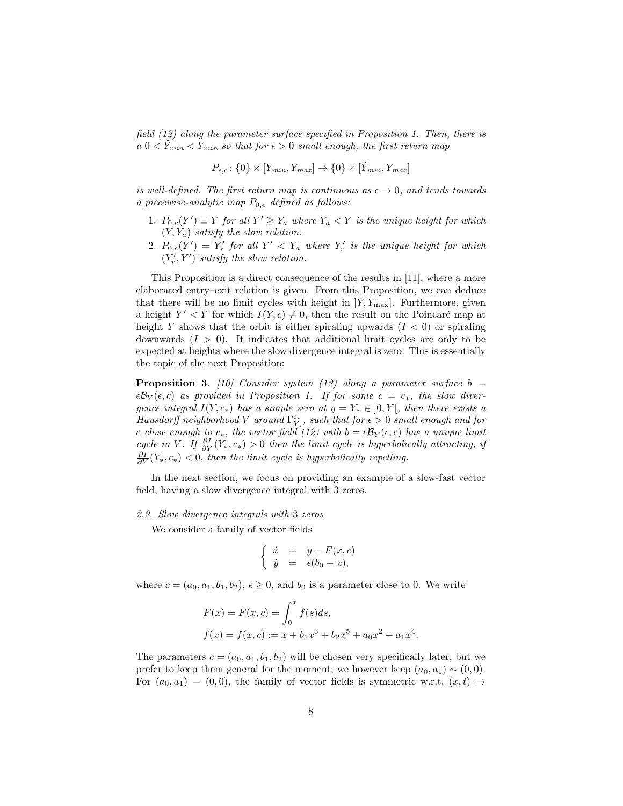field (12) along the parameter surface specified in Proposition 1. Then, there is  $a \ 0 < Y_{min} < Y_{min}$  so that for  $\epsilon > 0$  small enough, the first return map

$$
P_{\epsilon,c}\colon\{0\}\times[Y_{min},Y_{max}]\to\{0\}\times[\tilde{Y}_{min},Y_{max}]
$$

is well-defined. The first return map is continuous as  $\epsilon \to 0$ , and tends towards a piecewise-analytic map  $P_{0,c}$  defined as follows:

- 1.  $P_{0,c}(Y') \equiv Y$  for all  $Y' \geq Y_a$  where  $Y_a < Y$  is the unique height for which  $(Y, Y_a)$  satisfy the slow relation.
- 2.  $P_{0,c}(Y') = Y'_r$  for all  $Y' < Y_a$  where  $Y'_r$  is the unique height for which  $(Y'_r, Y')$  satisfy the slow relation.

This Proposition is a direct consequence of the results in [11], where a more elaborated entry–exit relation is given. From this Proposition, we can deduce that there will be no limit cycles with height in  $|Y, Y_{\text{max}}|$ . Furthermore, given a height  $Y' < Y$  for which  $I(Y, c) \neq 0$ , then the result on the Poincaré map at height Y shows that the orbit is either spiraling upwards  $(I < 0)$  or spiraling downwards  $(I > 0)$ . It indicates that additional limit cycles are only to be expected at heights where the slow divergence integral is zero. This is essentially the topic of the next Proposition:

**Proposition 3.** [10] Consider system (12) along a parameter surface  $b =$  $\epsilon \mathcal{B}_Y(\epsilon, c)$  as provided in Proposition 1. If for some  $c = c_*$ , the slow divergence integral  $I(Y, c_*)$  has a simple zero at  $y = Y_* \in ]0, Y[$ , then there exists a Hausdorff neighborhood V around  $\Gamma^{c_*}_{Y_*}$ , such that for  $\epsilon > 0$  small enough and for c close enough to c<sub>\*</sub>, the vector field (12) with  $b = \epsilon B_Y(\epsilon, c)$  has a unique limit cycle in V. If  $\frac{\partial I}{\partial Y}(Y_*, c_*) > 0$  then the limit cycle is hyperbolically attracting, if  $\frac{\partial I}{\partial Y}(Y_*,c_*)$  < 0, then the limit cycle is hyperbolically repelling.

In the next section, we focus on providing an example of a slow-fast vector field, having a slow divergence integral with 3 zeros.

## 2.2. Slow divergence integrals with 3 zeros

We consider a family of vector fields

$$
\begin{cases} \dot{x} = y - F(x, c) \\ \dot{y} = \epsilon(b_0 - x), \end{cases}
$$

where  $c = (a_0, a_1, b_1, b_2), \epsilon \geq 0$ , and  $b_0$  is a parameter close to 0. We write

$$
F(x) = F(x, c) = \int_0^x f(s)ds,
$$
  
\n
$$
f(x) = f(x, c) := x + b_1x^3 + b_2x^5 + a_0x^2 + a_1x^4.
$$

The parameters  $c = (a_0, a_1, b_1, b_2)$  will be chosen very specifically later, but we prefer to keep them general for the moment; we however keep  $(a_0, a_1) \sim (0, 0)$ . For  $(a_0, a_1) = (0, 0)$ , the family of vector fields is symmetric w.r.t.  $(x, t) \mapsto$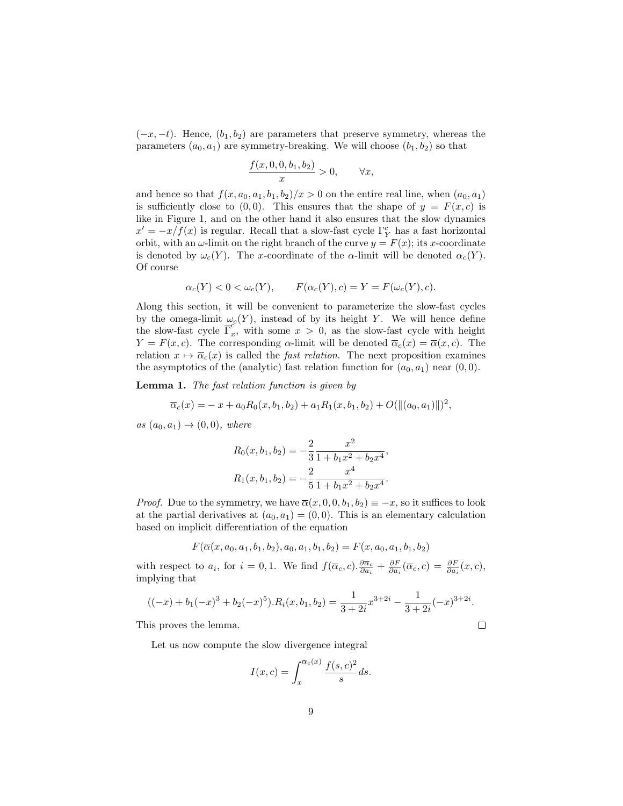$(-x, -t)$ . Hence,  $(b_1, b_2)$  are parameters that preserve symmetry, whereas the parameters  $(a_0, a_1)$  are symmetry-breaking. We will choose  $(b_1, b_2)$  so that

$$
\frac{f(x,0,0,b_1,b_2)}{x} > 0, \qquad \forall x,
$$

and hence so that  $f(x, a_0, a_1, b_1, b_2)/x > 0$  on the entire real line, when  $(a_0, a_1)$ is sufficiently close to  $(0, 0)$ . This ensures that the shape of  $y = F(x, c)$  is like in Figure 1, and on the other hand it also ensures that the slow dynamics  $x' = -x/f(x)$  is regular. Recall that a slow-fast cycle  $\Gamma_Y^c$  has a fast horizontal orbit, with an  $\omega$ -limit on the right branch of the curve  $y = F(x)$ ; its x-coordinate is denoted by  $\omega_c(Y)$ . The x-coordinate of the  $\alpha$ -limit will be denoted  $\alpha_c(Y)$ . Of course

$$
\alpha_c(Y) < 0 < \omega_c(Y), \qquad F(\alpha_c(Y), c) = Y = F(\omega_c(Y), c).
$$

Along this section, it will be convenient to parameterize the slow-fast cycles by the omega-limit  $\omega_c(Y)$ , instead of by its height Y. We will hence define the slow-fast cycle  $\overline{\Gamma}_x^c$  $\int_{x}^{\infty}$ , with some  $x > 0$ , as the slow-fast cycle with height  $Y = F(x, c)$ . The corresponding  $\alpha$ -limit will be denoted  $\overline{\alpha}_c(x) = \overline{\alpha}(x, c)$ . The relation  $x \mapsto \overline{\alpha}_c(x)$  is called the *fast relation*. The next proposition examines the asymptotics of the (analytic) fast relation function for  $(a_0, a_1)$  near  $(0, 0)$ .

Lemma 1. The fast relation function is given by

$$
\overline{\alpha}_c(x) = -x + a_0 R_0(x, b_1, b_2) + a_1 R_1(x, b_1, b_2) + O(\|(a_0, a_1)\|)^2,
$$

as  $(a_0, a_1) \rightarrow (0, 0)$ , where

$$
R_0(x, b_1, b_2) = -\frac{2}{3} \frac{x^2}{1 + b_1 x^2 + b_2 x^4},
$$
  

$$
R_1(x, b_1, b_2) = -\frac{2}{5} \frac{x^4}{1 + b_1 x^2 + b_2 x^4}.
$$

*Proof.* Due to the symmetry, we have  $\overline{\alpha}(x, 0, 0, b_1, b_2) \equiv -x$ , so it suffices to look at the partial derivatives at  $(a_0, a_1) = (0, 0)$ . This is an elementary calculation based on implicit differentiation of the equation

$$
F(\overline{\alpha}(x, a_0, a_1, b_1, b_2), a_0, a_1, b_1, b_2) = F(x, a_0, a_1, b_1, b_2)
$$

with respect to  $a_i$ , for  $i = 0, 1$ . We find  $f(\overline{\alpha}_c, c) \cdot \frac{\partial \overline{\alpha}_c}{\partial a_i} + \frac{\partial F}{\partial a_i}(\overline{\alpha}_c, c) = \frac{\partial F}{\partial a_i}(x, c)$ , implying that

$$
((-x) + b_1(-x)^3 + b_2(-x)^5).R_i(x, b_1, b_2) = \frac{1}{3+2i}x^{3+2i} - \frac{1}{3+2i}(-x)^{3+2i}.
$$

 $\Box$ 

This proves the lemma.

Let us now compute the slow divergence integral

$$
I(x,c) = \int_x^{\overline{\alpha}_c(x)} \frac{f(s,c)^2}{s} ds.
$$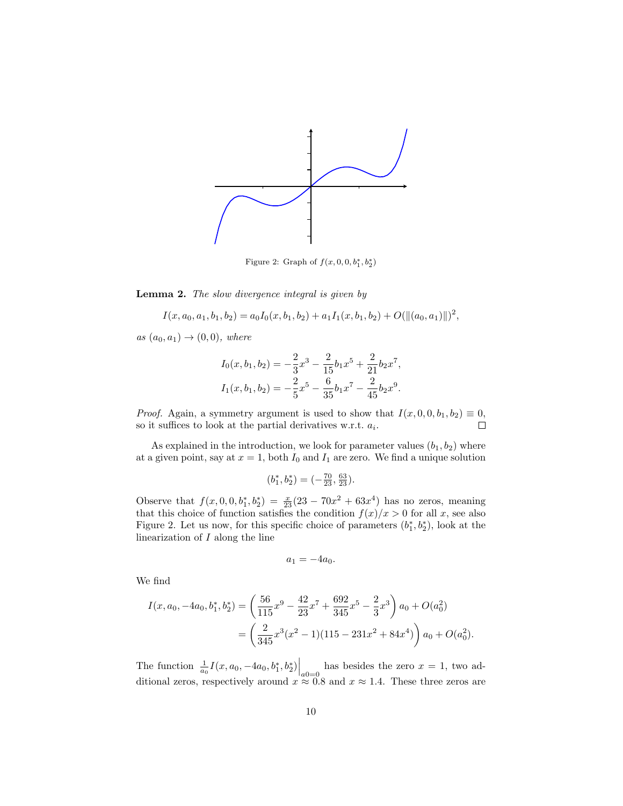

Figure 2: Graph of  $f(x, 0, 0, b_1^*, b_2^*)$ 

Lemma 2. The slow divergence integral is given by

$$
I(x, a_0, a_1, b_1, b_2) = a_0 I_0(x, b_1, b_2) + a_1 I_1(x, b_1, b_2) + O(||(a_0, a_1)||)^2,
$$

as  $(a_0, a_1) \rightarrow (0, 0)$ , where

$$
I_0(x, b_1, b_2) = -\frac{2}{3}x^3 - \frac{2}{15}b_1x^5 + \frac{2}{21}b_2x^7,
$$
  

$$
I_1(x, b_1, b_2) = -\frac{2}{5}x^5 - \frac{6}{35}b_1x^7 - \frac{2}{45}b_2x^9.
$$

*Proof.* Again, a symmetry argument is used to show that  $I(x, 0, 0, b_1, b_2) \equiv 0$ ,  $\Box$ so it suffices to look at the partial derivatives w.r.t.  $a_i$ .

As explained in the introduction, we look for parameter values  $(b_1, b_2)$  where at a given point, say at  $x = 1$ , both  $I_0$  and  $I_1$  are zero. We find a unique solution

$$
(b_1^*, b_2^*) = (-\tfrac{70}{23}, \tfrac{63}{23}).
$$

Observe that  $f(x, 0, 0, b_1^*, b_2^*) = \frac{x}{23}(23 - 70x^2 + 63x^4)$  has no zeros, meaning that this choice of function satisfies the condition  $f(x)/x > 0$  for all x, see also Figure 2. Let us now, for this specific choice of parameters  $(b_1^*, b_2^*)$ , look at the linearization of  $I$  along the line

$$
a_1 = -4a_0.
$$

We find

$$
I(x, a_0, -4a_0, b_1^*, b_2^*) = \left(\frac{56}{115}x^9 - \frac{42}{23}x^7 + \frac{692}{345}x^5 - \frac{2}{3}x^3\right)a_0 + O(a_0^2)
$$
  
=  $\left(\frac{2}{345}x^3(x^2 - 1)(115 - 231x^2 + 84x^4)\right)a_0 + O(a_0^2).$ 

The function  $\frac{1}{a_0} I(x, a_0, -4a_0, b_1^*, b_2^*)\Big|_{a_0=0}$  has besides the zero  $x = 1$ , two additional zeros, respectively around  $x \approx 0.8$  and  $x \approx 1.4$ . These three zeros are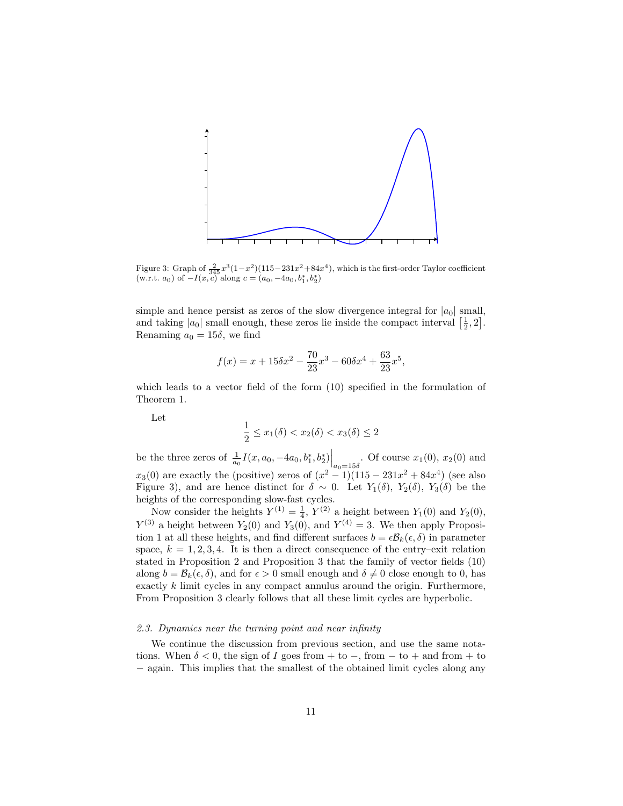

Figure 3: Graph of  $\frac{2}{345}x^3(1-x^2)(115-231x^2+84x^4)$ , which is the first-order Taylor coefficient (w.r.t.  $a_0$ ) of  $-I(x, c)$  along  $c = (a_0, -4a_0, b_1^*, b_2^*)$ 

simple and hence persist as zeros of the slow divergence integral for  $|a_0|$  small, and taking  $|a_0|$  small enough, these zeros lie inside the compact interval  $\left[\frac{1}{2},2\right]$ . Renaming  $a_0 = 15\delta$ , we find

$$
f(x) = x + 15\delta x^2 - \frac{70}{23}x^3 - 60\delta x^4 + \frac{63}{23}x^5,
$$

which leads to a vector field of the form (10) specified in the formulation of Theorem 1.

Let

$$
\frac{1}{2} \le x_1(\delta) < x_2(\delta) < x_3(\delta) \le 2
$$

be the three zeros of  $\frac{1}{a_0} I(x, a_0, -4a_0, b_1^*, b_2^*)\Big|_{a_0=15\delta}$ . Of course  $x_1(0), x_2(0)$  and  $x_3(0)$  are exactly the (positive) zeros of  $(x^2 - 1)(115 - 231x^2 + 84x^4)$  (see also Figure 3), and are hence distinct for  $\delta \sim 0$ . Let  $Y_1(\delta)$ ,  $Y_2(\delta)$ ,  $Y_3(\delta)$  be the heights of the corresponding slow-fast cycles.

Now consider the heights  $Y^{(1)} = \frac{1}{4}$ ,  $Y^{(2)}$  a height between  $Y_1(0)$  and  $Y_2(0)$ ,  $Y^{(3)}$  a height between  $Y_2(0)$  and  $Y_3(0)$ , and  $Y^{(4)} = 3$ . We then apply Proposition 1 at all these heights, and find different surfaces  $b = \epsilon \mathcal{B}_k(\epsilon, \delta)$  in parameter space,  $k = 1, 2, 3, 4$ . It is then a direct consequence of the entry-exit relation stated in Proposition 2 and Proposition 3 that the family of vector fields (10) along  $b = \mathcal{B}_k(\epsilon, \delta)$ , and for  $\epsilon > 0$  small enough and  $\delta \neq 0$  close enough to 0, has exactly k limit cycles in any compact annulus around the origin. Furthermore, From Proposition 3 clearly follows that all these limit cycles are hyperbolic.

## 2.3. Dynamics near the turning point and near infinity

We continue the discussion from previous section, and use the same notations. When  $\delta < 0$ , the sign of I goes from + to -, from - to + and from + to − again. This implies that the smallest of the obtained limit cycles along any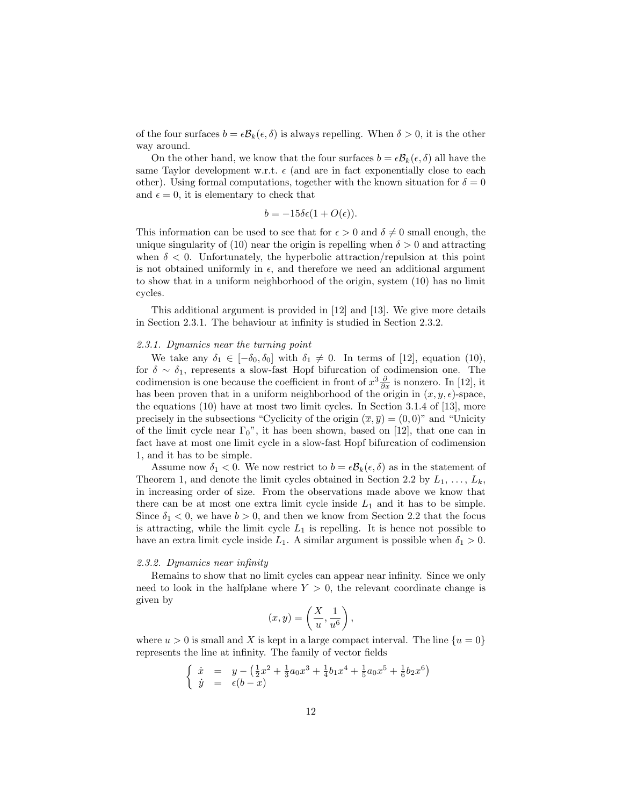of the four surfaces  $b = \epsilon B_k(\epsilon, \delta)$  is always repelling. When  $\delta > 0$ , it is the other way around.

On the other hand, we know that the four surfaces  $b = \epsilon \mathcal{B}_k(\epsilon, \delta)$  all have the same Taylor development w.r.t.  $\epsilon$  (and are in fact exponentially close to each other). Using formal computations, together with the known situation for  $\delta = 0$ and  $\epsilon = 0$ , it is elementary to check that

$$
b = -15\delta\epsilon(1 + O(\epsilon)).
$$

This information can be used to see that for  $\epsilon > 0$  and  $\delta \neq 0$  small enough, the unique singularity of (10) near the origin is repelling when  $\delta > 0$  and attracting when  $\delta$  < 0. Unfortunately, the hyperbolic attraction/repulsion at this point is not obtained uniformly in  $\epsilon$ , and therefore we need an additional argument to show that in a uniform neighborhood of the origin, system (10) has no limit cycles.

This additional argument is provided in [12] and [13]. We give more details in Section 2.3.1. The behaviour at infinity is studied in Section 2.3.2.

#### 2.3.1. Dynamics near the turning point

We take any  $\delta_1 \in [-\delta_0, \delta_0]$  with  $\delta_1 \neq 0$ . In terms of [12], equation (10), for  $\delta \sim \delta_1$ , represents a slow-fast Hopf bifurcation of codimension one. The codimension is one because the coefficient in front of  $x^3 \frac{\partial}{\partial x}$  is nonzero. In [12], it has been proven that in a uniform neighborhood of the origin in  $(x, y, \epsilon)$ -space, the equations (10) have at most two limit cycles. In Section 3.1.4 of [13], more precisely in the subsections "Cyclicity of the origin  $(\overline{x}, \overline{y}) = (0, 0)$ " and "Unicity of the limit cycle near  $\Gamma_0$ ", it has been shown, based on [12], that one can in fact have at most one limit cycle in a slow-fast Hopf bifurcation of codimension 1, and it has to be simple.

Assume now  $\delta_1 < 0$ . We now restrict to  $b = \epsilon \mathcal{B}_k(\epsilon, \delta)$  as in the statement of Theorem 1, and denote the limit cycles obtained in Section 2.2 by  $L_1, \ldots, L_k$ , in increasing order of size. From the observations made above we know that there can be at most one extra limit cycle inside  $L_1$  and it has to be simple. Since  $\delta_1$  < 0, we have  $b > 0$ , and then we know from Section 2.2 that the focus is attracting, while the limit cycle  $L_1$  is repelling. It is hence not possible to have an extra limit cycle inside  $L_1$ . A similar argument is possible when  $\delta_1 > 0$ .

#### 2.3.2. Dynamics near infinity

Remains to show that no limit cycles can appear near infinity. Since we only need to look in the halfplane where  $Y > 0$ , the relevant coordinate change is given by

$$
(x,y) = \left(\frac{X}{u}, \frac{1}{u^6}\right),\,
$$

where  $u > 0$  is small and X is kept in a large compact interval. The line  $\{u = 0\}$ represents the line at infinity. The family of vector fields

$$
\begin{cases} \n\dot{x} = y - \left(\frac{1}{2}x^2 + \frac{1}{3}a_0x^3 + \frac{1}{4}b_1x^4 + \frac{1}{5}a_0x^5 + \frac{1}{6}b_2x^6\right) \\
\dot{y} = \epsilon(b-x) \n\end{cases}
$$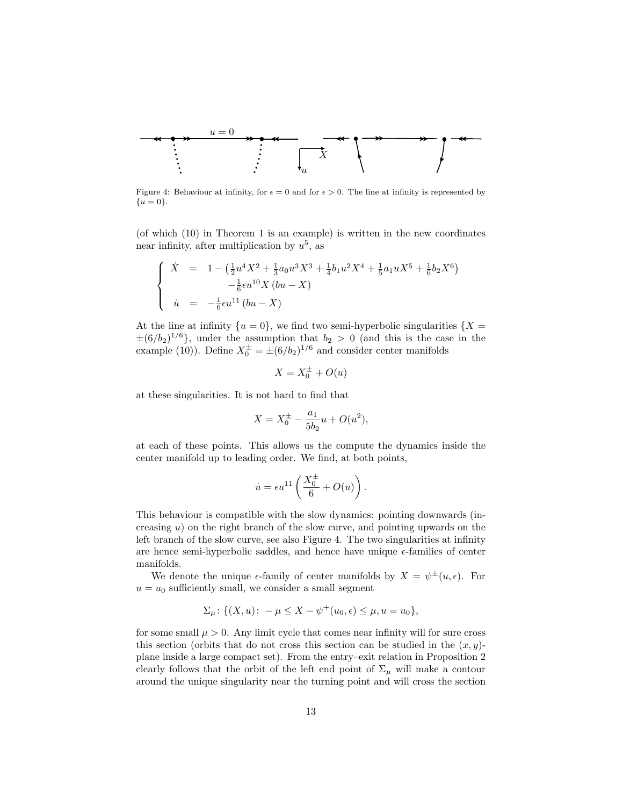

Figure 4: Behaviour at infinity, for  $\epsilon = 0$  and for  $\epsilon > 0$ . The line at infinity is represented by  ${u = 0}.$ 

(of which (10) in Theorem 1 is an example) is written in the new coordinates near infinity, after multiplication by  $u^5$ , as

$$
\begin{cases}\n\dot{X} = 1 - \left(\frac{1}{2}u^4X^2 + \frac{1}{3}a_0u^3X^3 + \frac{1}{4}b_1u^2X^4 + \frac{1}{5}a_1uX^5 + \frac{1}{6}b_2X^6\right) \\
-\frac{1}{6}\epsilon u^{10}X(bu - X) \\
\dot{u} = -\frac{1}{6}\epsilon u^{11}(bu - X)\n\end{cases}
$$

At the line at infinity  $\{u=0\}$ , we find two semi-hyperbolic singularities  $\{X=$  $\pm (6/b_2)^{1/6}$ , under the assumption that  $b_2 > 0$  (and this is the case in the example (10)). Define  $X_0^{\pm} = \pm (6/b_2)^{1/6}$  and consider center manifolds

$$
X = X_0^{\pm} + O(u)
$$

at these singularities. It is not hard to find that

$$
X = X_0^{\pm} - \frac{a_1}{5b_2}u + O(u^2),
$$

at each of these points. This allows us the compute the dynamics inside the center manifold up to leading order. We find, at both points,

$$
\dot{u} = \epsilon u^{11}\left(\frac{X_0^{\pm}}{6} + O(u)\right).
$$

This behaviour is compatible with the slow dynamics: pointing downwards (increasing  $u$ ) on the right branch of the slow curve, and pointing upwards on the left branch of the slow curve, see also Figure 4. The two singularities at infinity are hence semi-hyperbolic saddles, and hence have unique  $\epsilon$ -families of center manifolds.

We denote the unique  $\epsilon$ -family of center manifolds by  $X = \psi^{\pm}(u, \epsilon)$ . For  $u = u_0$  sufficiently small, we consider a small segment

$$
\Sigma_{\mu} \colon \{(X, u) \colon -\mu \le X - \psi^+(u_0, \epsilon) \le \mu, u = u_0\},\
$$

for some small  $\mu > 0$ . Any limit cycle that comes near infinity will for sure cross this section (orbits that do not cross this section can be studied in the  $(x, y)$ plane inside a large compact set). From the entry–exit relation in Proposition 2 clearly follows that the orbit of the left end point of  $\Sigma_{\mu}$  will make a contour around the unique singularity near the turning point and will cross the section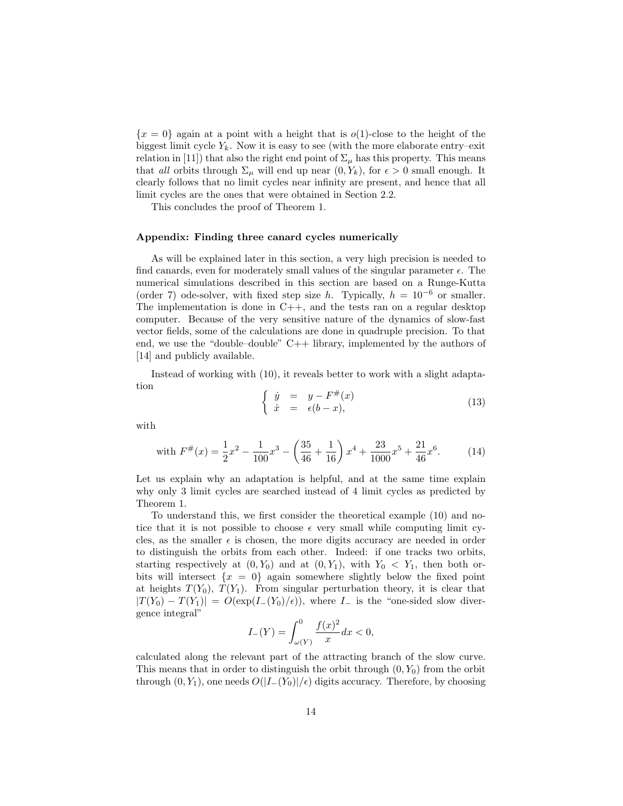${x = 0}$  again at a point with a height that is  $o(1)$ -close to the height of the biggest limit cycle  $Y_k$ . Now it is easy to see (with the more elaborate entry–exit relation in [11]) that also the right end point of  $\Sigma_{\mu}$  has this property. This means that all orbits through  $\Sigma_{\mu}$  will end up near  $(0, Y_k)$ , for  $\epsilon > 0$  small enough. It clearly follows that no limit cycles near infinity are present, and hence that all limit cycles are the ones that were obtained in Section 2.2.

This concludes the proof of Theorem 1.

#### Appendix: Finding three canard cycles numerically

As will be explained later in this section, a very high precision is needed to find canards, even for moderately small values of the singular parameter  $\epsilon$ . The numerical simulations described in this section are based on a Runge-Kutta (order 7) ode-solver, with fixed step size h. Typically,  $h = 10^{-6}$  or smaller. The implementation is done in  $C++$ , and the tests ran on a regular desktop computer. Because of the very sensitive nature of the dynamics of slow-fast vector fields, some of the calculations are done in quadruple precision. To that end, we use the "double–double" C++ library, implemented by the authors of [14] and publicly available.

Instead of working with (10), it reveals better to work with a slight adaptation

$$
\begin{cases}\n\dot{y} = y - F^{\#}(x) \\
\dot{x} = \epsilon(b - x),\n\end{cases} \tag{13}
$$

with

with 
$$
F^{\#}(x) = \frac{1}{2}x^2 - \frac{1}{100}x^3 - \left(\frac{35}{46} + \frac{1}{16}\right)x^4 + \frac{23}{1000}x^5 + \frac{21}{46}x^6.
$$
 (14)

Let us explain why an adaptation is helpful, and at the same time explain why only 3 limit cycles are searched instead of 4 limit cycles as predicted by Theorem 1.

To understand this, we first consider the theoretical example (10) and notice that it is not possible to choose  $\epsilon$  very small while computing limit cycles, as the smaller  $\epsilon$  is chosen, the more digits accuracy are needed in order to distinguish the orbits from each other. Indeed: if one tracks two orbits, starting respectively at  $(0, Y_0)$  and at  $(0, Y_1)$ , with  $Y_0 < Y_1$ , then both orbits will intersect  $\{x = 0\}$  again somewhere slightly below the fixed point at heights  $T(Y_0)$ ,  $T(Y_1)$ . From singular perturbation theory, it is clear that  $|T(Y_0) - T(Y_1)| = O(\exp(I_-(Y_0)/\epsilon)),$  where  $I_-$  is the "one-sided slow divergence integral"

$$
I_{-}(Y) = \int_{\omega(Y)}^{0} \frac{f(x)^{2}}{x} dx < 0,
$$

calculated along the relevant part of the attracting branch of the slow curve. This means that in order to distinguish the orbit through  $(0, Y_0)$  from the orbit through  $(0, Y_1)$ , one needs  $O(|I_-(Y_0)|/\epsilon)$  digits accuracy. Therefore, by choosing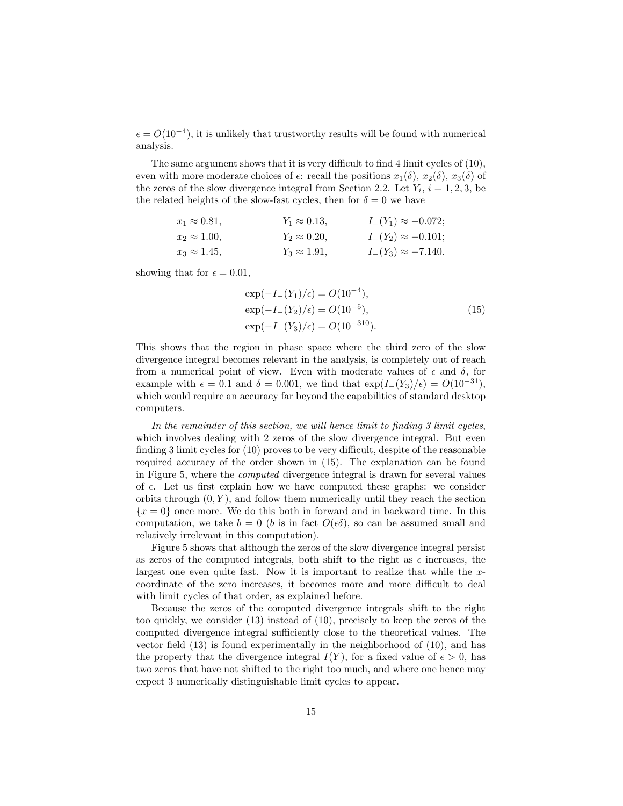$\epsilon = O(10^{-4})$ , it is unlikely that trustworthy results will be found with numerical analysis.

The same argument shows that it is very difficult to find 4 limit cycles of (10), even with more moderate choices of  $\epsilon$ : recall the positions  $x_1(\delta)$ ,  $x_2(\delta)$ ,  $x_3(\delta)$  of the zeros of the slow divergence integral from Section 2.2. Let  $Y_i$ ,  $i = 1, 2, 3$ , be the related heights of the slow-fast cycles, then for  $\delta = 0$  we have

| $x_1 \approx 0.81,$ | $Y_1 \approx 0.13$ , | $I_{-}(Y_1) \approx -0.072;$ |
|---------------------|----------------------|------------------------------|
| $x_2 \approx 1.00,$ | $Y_2 \approx 0.20,$  | $I_{-}(Y_2) \approx -0.101;$ |
| $x_3 \approx 1.45,$ | $Y_3 \approx 1.91,$  | $I_{-}(Y_3) \approx -7.140.$ |

showing that for  $\epsilon = 0.01$ ,

$$
\exp(-I_{-}(Y_{1})/\epsilon) = O(10^{-4}),
$$
  
\n
$$
\exp(-I_{-}(Y_{2})/\epsilon) = O(10^{-5}),
$$
  
\n
$$
\exp(-I_{-}(Y_{3})/\epsilon) = O(10^{-310}).
$$
\n(15)

This shows that the region in phase space where the third zero of the slow divergence integral becomes relevant in the analysis, is completely out of reach from a numerical point of view. Even with moderate values of  $\epsilon$  and  $\delta$ , for example with  $\epsilon = 0.1$  and  $\delta = 0.001$ , we find that  $\exp(I_-(Y_3)/\epsilon) = O(10^{-31})$ , which would require an accuracy far beyond the capabilities of standard desktop computers.

In the remainder of this section, we will hence limit to finding 3 limit cycles, which involves dealing with 2 zeros of the slow divergence integral. But even finding 3 limit cycles for (10) proves to be very difficult, despite of the reasonable required accuracy of the order shown in (15). The explanation can be found in Figure 5, where the computed divergence integral is drawn for several values of  $\epsilon$ . Let us first explain how we have computed these graphs: we consider orbits through  $(0, Y)$ , and follow them numerically until they reach the section  ${x = 0}$  once more. We do this both in forward and in backward time. In this computation, we take  $b = 0$  (b is in fact  $O(\epsilon \delta)$ , so can be assumed small and relatively irrelevant in this computation).

Figure 5 shows that although the zeros of the slow divergence integral persist as zeros of the computed integrals, both shift to the right as  $\epsilon$  increases, the largest one even quite fast. Now it is important to realize that while the xcoordinate of the zero increases, it becomes more and more difficult to deal with limit cycles of that order, as explained before.

Because the zeros of the computed divergence integrals shift to the right too quickly, we consider (13) instead of (10), precisely to keep the zeros of the computed divergence integral sufficiently close to the theoretical values. The vector field (13) is found experimentally in the neighborhood of (10), and has the property that the divergence integral  $I(Y)$ , for a fixed value of  $\epsilon > 0$ , has two zeros that have not shifted to the right too much, and where one hence may expect 3 numerically distinguishable limit cycles to appear.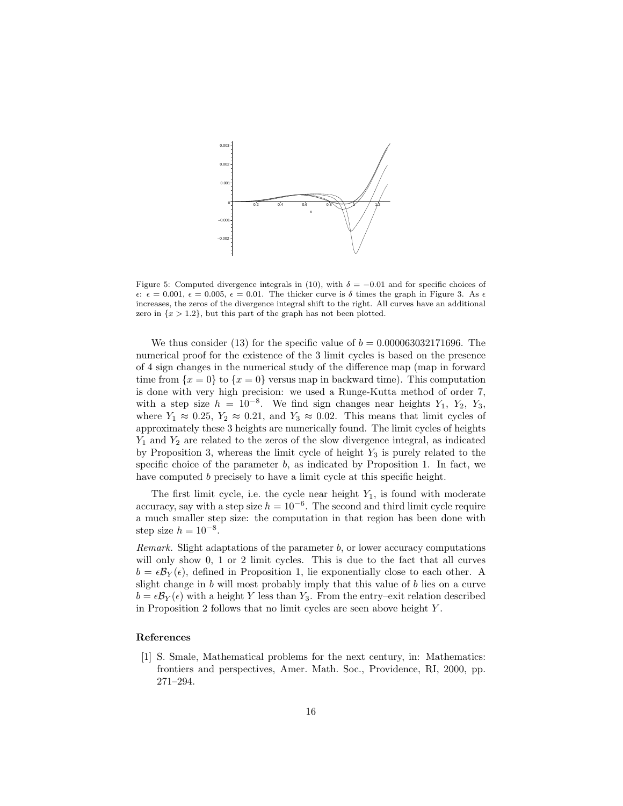

Figure 5: Computed divergence integrals in (10), with  $\delta = -0.01$  and for specific choices of  $\epsilon: \epsilon = 0.001, \epsilon = 0.005, \epsilon = 0.01$ . The thicker curve is  $\delta$  times the graph in Figure 3. As  $\epsilon$ increases, the zeros of the divergence integral shift to the right. All curves have an additional zero in  $\{x > 1.2\}$ , but this part of the graph has not been plotted.

We thus consider (13) for the specific value of  $b = 0.000063032171696$ . The numerical proof for the existence of the 3 limit cycles is based on the presence of 4 sign changes in the numerical study of the difference map (map in forward time from  $\{x = 0\}$  to  $\{x = 0\}$  versus map in backward time). This computation is done with very high precision: we used a Runge-Kutta method of order 7, with a step size  $h = 10^{-8}$ . We find sign changes near heights  $Y_1$ ,  $Y_2$ ,  $Y_3$ , where  $Y_1 \approx 0.25$ ,  $Y_2 \approx 0.21$ , and  $Y_3 \approx 0.02$ . This means that limit cycles of approximately these 3 heights are numerically found. The limit cycles of heights  $Y_1$  and  $Y_2$  are related to the zeros of the slow divergence integral, as indicated by Proposition 3, whereas the limit cycle of height  $Y_3$  is purely related to the specific choice of the parameter  $b$ , as indicated by Proposition 1. In fact, we have computed b precisely to have a limit cycle at this specific height.

The first limit cycle, i.e. the cycle near height  $Y_1$ , is found with moderate accuracy, say with a step size  $h = 10^{-6}$ . The second and third limit cycle require a much smaller step size: the computation in that region has been done with step size  $h = 10^{-8}$ .

Remark. Slight adaptations of the parameter  $b$ , or lower accuracy computations will only show 0, 1 or 2 limit cycles. This is due to the fact that all curves  $b = \epsilon \mathcal{B}_Y(\epsilon)$ , defined in Proposition 1, lie exponentially close to each other. A slight change in b will most probably imply that this value of b lies on a curve  $b = \epsilon \mathcal{B}_Y(\epsilon)$  with a height Y less than Y<sub>3</sub>. From the entry–exit relation described in Proposition 2 follows that no limit cycles are seen above height Y .

### References

[1] S. Smale, Mathematical problems for the next century, in: Mathematics: frontiers and perspectives, Amer. Math. Soc., Providence, RI, 2000, pp. 271–294.